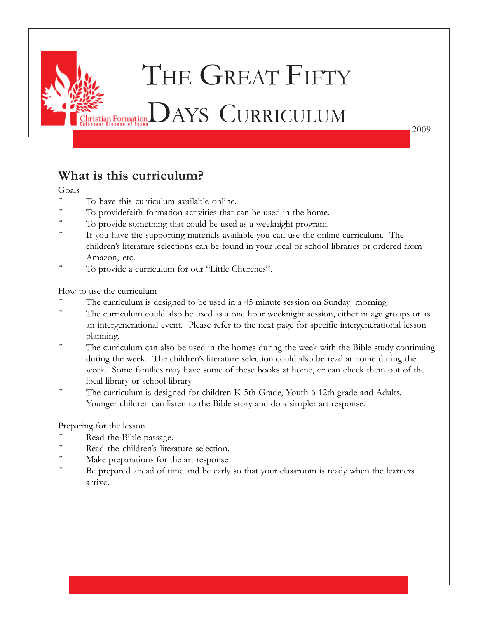

2009

### **What is this curriculum?**

#### Goals

- To have this curriculum available online.
- To providefaith formation activities that can be used in the home.
- To provide something that could be used as a weeknight program.
- If you have the supporting materials available you can use the online curriculum. The children's literature selections can be found in your local or school libraries or ordered from Amazon, etc.
- To provide a curriculum for our "Little Churches".

#### How to use the curriculum

- The curriculum is designed to be used in a 45 minute session on Sunday morning.
- The curriculum could also be used as a one hour weeknight session, either in age groups or as an intergenerational event. Please refer to the next page for specific intergenerational lesson planning.
- The curriculum can also be used in the homes during the week with the Bible study continuing during the week. The children's literature selection could also be read at home during the week. Some families may have some of these books at home, or can check them out of the local library or school library.
- The curriculum is designed for children K-5th Grade, Youth 6-12th grade and Adults. Younger children can listen to the Bible story and do a simpler art response.

### Preparing for the lesson

- Read the Bible passage.
- Read the children's literature selection.
- Make preparations for the art response
- Be prepared ahead of time and be early so that your classroom is ready when the learners arrive.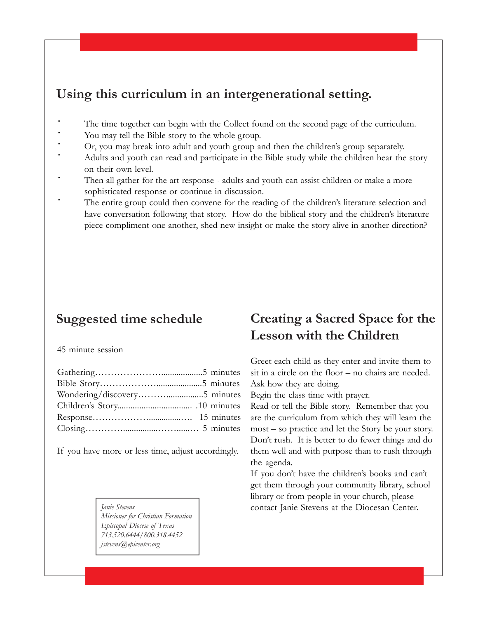### **Using this curriculum in an intergenerational setting.**

- ¨ The time together can begin with the Collect found on the second page of the curriculum.
- ¨ You may tell the Bible story to the whole group.
- Or, you may break into adult and youth group and then the children's group separately.
- Adults and youth can read and participate in the Bible study while the children hear the story on their own level.
- Then all gather for the art response adults and youth can assist children or make a more sophisticated response or continue in discussion.
- The entire group could then convene for the reading of the children's literature selection and have conversation following that story. How do the biblical story and the children's literature piece compliment one another, shed new insight or make the story alive in another direction?

### **Suggested time schedule**

#### 45 minute session

If you have more or less time, adjust accordingly.

*Missioner for Christian Formation Episcopal Diocese of Texas 713.520.6444/800.318.4452 jstevens@epicenter.org*

### **Creating a Sacred Space for the Lesson with the Children**

Greet each child as they enter and invite them to sit in a circle on the floor – no chairs are needed. Ask how they are doing.

Begin the class time with prayer.

Read or tell the Bible story. Remember that you are the curriculum from which they will learn the most – so practice and let the Story be your story. Don't rush. It is better to do fewer things and do them well and with purpose than to rush through the agenda.

If you don't have the children's books and can't get them through your community library, school library or from people in your church, please *Janie Stevens* **contact Janie Stevens at the Diocesan Center.**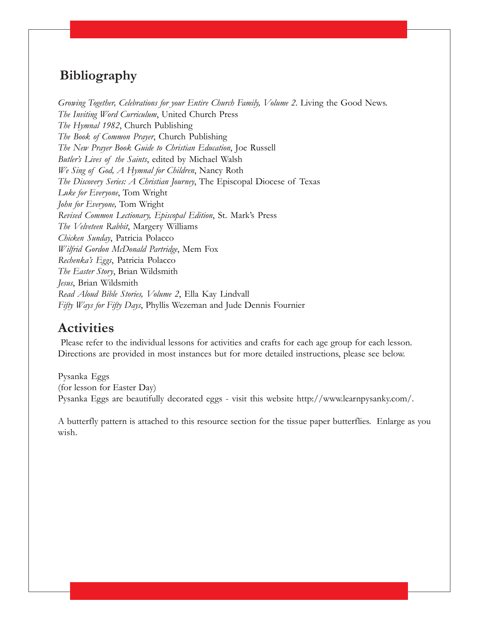### **Bibliography**

*Growing Together, Celebrations for your Entire Church Family, Volume 2*. Living the Good News. *The Inviting Word Curriculum*, United Church Press *The Hymnal 1982*, Church Publishing *The Book of Common Prayer*, Church Publishing *The New Prayer Book Guide to Christian Education*, Joe Russell *Butler's Lives of the Saints*, edited by Michael Walsh *We Sing of God, A Hymnal for Children*, Nancy Roth *The Discovery Series: A Christian Journey*, The Episcopal Diocese of Texas *Luke for Everyone*, Tom Wright *John for Everyone,* Tom Wright *Revised Common Lectionary, Episcopal Edition*, St. Mark's Press *The Velveteen Rabbit*, Margery Williams *Chicken Sunday*, Patricia Polacco *Wilfrid Gordon McDonald Partridge*, Mem Fox *Rechenka's Eggs*, Patricia Polacco *The Easter Story*, Brian Wildsmith *Jesus*, Brian Wildsmith *Read Aloud Bible Stories, Volume 2*, Ella Kay Lindvall *Fifty Ways for Fifty Days*, Phyllis Wezeman and Jude Dennis Fournier

### **Activities**

 Please refer to the individual lessons for activities and crafts for each age group for each lesson. Directions are provided in most instances but for more detailed instructions, please see below.

Pysanka Eggs (for lesson for Easter Day) Pysanka Eggs are beautifully decorated eggs - visit this website http://www.learnpysanky.com/.

A butterfly pattern is attached to this resource section for the tissue paper butterflies. Enlarge as you wish.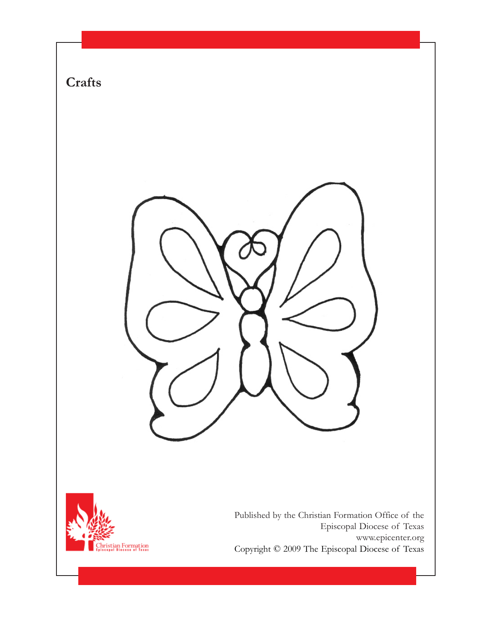

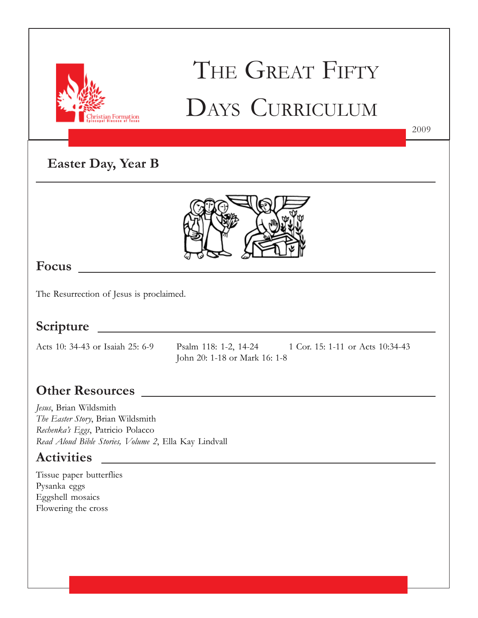

# THE GREAT FIFTY DAYS CURRICULUM

2009

## **Easter Day, Year B**



### **Focus**

The Resurrection of Jesus is proclaimed.

### **Scripture**

Acts 10: 34-43 or Isaiah 25: 6-9 Psalm 118: 1-2, 14-24 1 Cor. 15: 1-11 or Acts 10:34-43 John 20: 1-18 or Mark 16: 1-8

### **Other Resources**

*Jesus*, Brian Wildsmith *The Easter Story*, Brian Wildsmith *Rechenka's Eggs*, Patricio Polacco *Read Aloud Bible Stories, Volume 2*, Ella Kay Lindvall

<u> 1989 - Johann Barn, mars ann an t-Amhain Aonaich an t-Aonaich an t-Aonaich an t-Aonaich an t-Aonaich an t-Aon</u>

### **Activities**

Tissue paper butterflies Pysanka eggs Eggshell mosaics Flowering the cross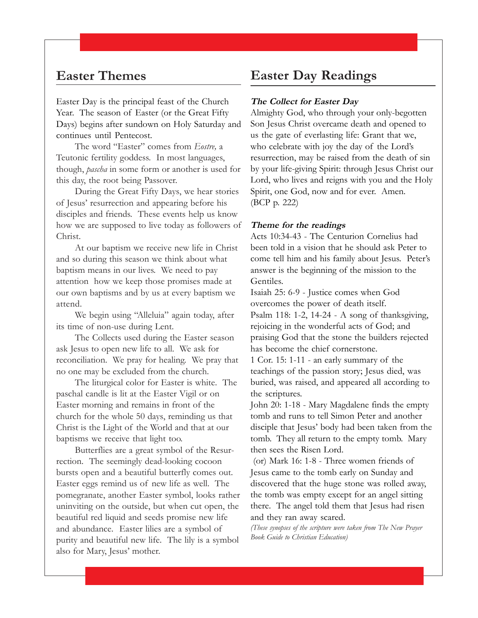### **Easter Themes**

Easter Day is the principal feast of the Church Year. The season of Easter (or the Great Fifty Days) begins after sundown on Holy Saturday and continues until Pentecost.

The word "Easter" comes from *Eostre,* a Teutonic fertility goddess. In most languages, though, *pascha* in some form or another is used for this day, the root being Passover.

During the Great Fifty Days, we hear stories of Jesus' resurrection and appearing before his disciples and friends. These events help us know how we are supposed to live today as followers of Christ.

At our baptism we receive new life in Christ and so during this season we think about what baptism means in our lives. We need to pay attention how we keep those promises made at our own baptisms and by us at every baptism we attend.

We begin using "Alleluia" again today, after its time of non-use during Lent.

The Collects used during the Easter season ask Jesus to open new life to all. We ask for reconciliation. We pray for healing. We pray that no one may be excluded from the church.

The liturgical color for Easter is white. The paschal candle is lit at the Easter Vigil or on Easter morning and remains in front of the church for the whole 50 days, reminding us that Christ is the Light of the World and that at our baptisms we receive that light too.

Butterflies are a great symbol of the Resurrection. The seemingly dead-looking cocoon bursts open and a beautiful butterfly comes out. Easter eggs remind us of new life as well. The pomegranate, another Easter symbol, looks rather uninviting on the outside, but when cut open, the beautiful red liquid and seeds promise new life and abundance. Easter lilies are a symbol of purity and beautiful new life. The lily is a symbol also for Mary, Jesus' mother.

### **Easter Day Readings**

#### **The Collect for Easter Day**

Almighty God, who through your only-begotten Son Jesus Christ overcame death and opened to us the gate of everlasting life: Grant that we, who celebrate with joy the day of the Lord's resurrection, may be raised from the death of sin by your life-giving Spirit: through Jesus Christ our Lord, who lives and reigns with you and the Holy Spirit, one God, now and for ever. Amen. (BCP p. 222)

#### **Theme for the readings**

Acts 10:34-43 - The Centurion Cornelius had been told in a vision that he should ask Peter to come tell him and his family about Jesus. Peter's answer is the beginning of the mission to the Gentiles.

Isaiah 25: 6-9 - Justice comes when God overcomes the power of death itself.

Psalm 118: 1-2, 14-24 - A song of thanksgiving, rejoicing in the wonderful acts of God; and praising God that the stone the builders rejected has become the chief cornerstone.

1 Cor. 15: 1-11 - an early summary of the teachings of the passion story; Jesus died, was buried, was raised, and appeared all according to the scriptures.

John 20: 1-18 - Mary Magdalene finds the empty tomb and runs to tell Simon Peter and another disciple that Jesus' body had been taken from the tomb. They all return to the empty tomb. Mary then sees the Risen Lord.

 (or) Mark 16: 1-8 - Three women friends of Jesus came to the tomb early on Sunday and discovered that the huge stone was rolled away, the tomb was empty except for an angel sitting there. The angel told them that Jesus had risen and they ran away scared.

*(These synopses of the scripture were taken from The New Prayer Book Guide to Christian Education)*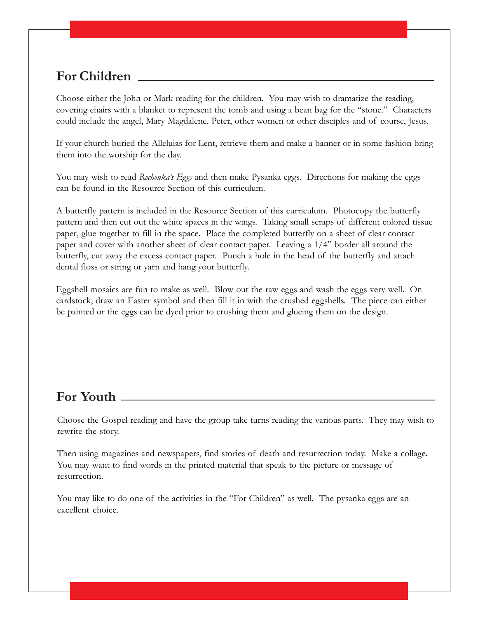Choose either the John or Mark reading for the children. You may wish to dramatize the reading, covering chairs with a blanket to represent the tomb and using a bean bag for the "stone." Characters could include the angel, Mary Magdalene, Peter, other women or other disciples and of course, Jesus.

If your church buried the Alleluias for Lent, retrieve them and make a banner or in some fashion bring them into the worship for the day.

You may wish to read *Rechenka's Eggs* and then make Pysanka eggs. Directions for making the eggs can be found in the Resource Section of this curriculum.

A butterfly pattern is included in the Resource Section of this curriculum. Photocopy the butterfly pattern and then cut out the white spaces in the wings. Taking small scraps of different colored tissue paper, glue together to fill in the space. Place the completed butterfly on a sheet of clear contact paper and cover with another sheet of clear contact paper. Leaving a 1/4" border all around the butterfly, cut away the excess contact paper. Punch a hole in the head of the butterfly and attach dental floss or string or yarn and hang your butterfly.

Eggshell mosaics are fun to make as well. Blow out the raw eggs and wash the eggs very well. On cardstock, draw an Easter symbol and then fill it in with the crushed eggshells. The piece can either be painted or the eggs can be dyed prior to crushing them and glueing them on the design.

### **For Youth**

Choose the Gospel reading and have the group take turns reading the various parts. They may wish to rewrite the story.

Then using magazines and newspapers, find stories of death and resurrection today. Make a collage. You may want to find words in the printed material that speak to the picture or message of resurrection.

You may like to do one of the activities in the "For Children" as well. The pysanka eggs are an excellent choice.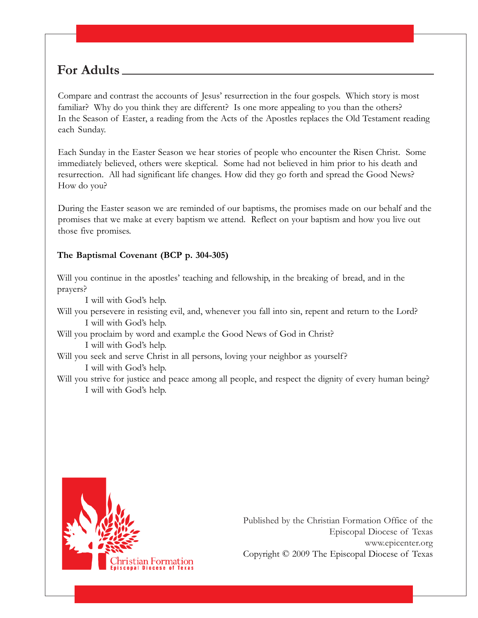Compare and contrast the accounts of Jesus' resurrection in the four gospels. Which story is most familiar? Why do you think they are different? Is one more appealing to you than the others? In the Season of Easter, a reading from the Acts of the Apostles replaces the Old Testament reading each Sunday.

Each Sunday in the Easter Season we hear stories of people who encounter the Risen Christ. Some immediately believed, others were skeptical. Some had not believed in him prior to his death and resurrection. All had significant life changes. How did they go forth and spread the Good News? How do you?

During the Easter season we are reminded of our baptisms, the promises made on our behalf and the promises that we make at every baptism we attend. Reflect on your baptism and how you live out those five promises.

#### **The Baptismal Covenant (BCP p. 304-305)**

Will you continue in the apostles' teaching and fellowship, in the breaking of bread, and in the prayers?

I will with God's help.

Will you persevere in resisting evil, and, whenever you fall into sin, repent and return to the Lord? I will with God's help.

Will you proclaim by word and exampl.e the Good News of God in Christ?

I will with God's help.

Will you seek and serve Christ in all persons, loving your neighbor as yourself? I will with God's help.

Will you strive for justice and peace among all people, and respect the dignity of every human being? I will with God's help.

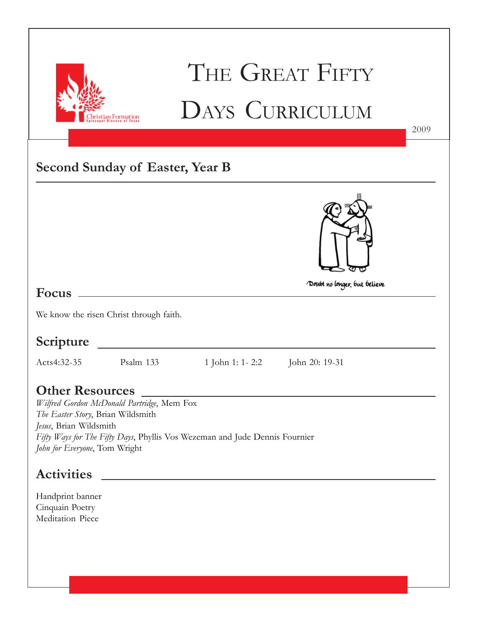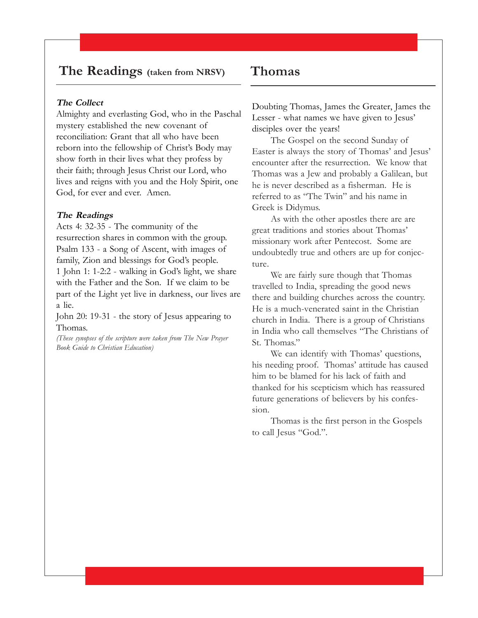### **The Readings (taken from NRSV)**

#### **The Collect**

Almighty and everlasting God, who in the Paschal mystery established the new covenant of reconciliation: Grant that all who have been reborn into the fellowship of Christ's Body may show forth in their lives what they profess by their faith; through Jesus Christ our Lord, who lives and reigns with you and the Holy Spirit, one God, for ever and ever. Amen.

#### **The Readings**

Acts 4: 32-35 - The community of the resurrection shares in common with the group. Psalm 133 - a Song of Ascent, with images of family, Zion and blessings for God's people. 1 John 1: 1-2:2 - walking in God's light, we share with the Father and the Son. If we claim to be part of the Light yet live in darkness, our lives are a lie.

John 20: 19-31 - the story of Jesus appearing to Thomas.

*(These synopses of the scripture were taken from The New Prayer Book Guide to Christian Education)*

### **Thomas**

Doubting Thomas, James the Greater, James the Lesser - what names we have given to Jesus' disciples over the years!

The Gospel on the second Sunday of Easter is always the story of Thomas' and Jesus' encounter after the resurrection. We know that Thomas was a Jew and probably a Galilean, but he is never described as a fisherman. He is referred to as "The Twin" and his name in Greek is Didymus.

As with the other apostles there are are great traditions and stories about Thomas' missionary work after Pentecost. Some are undoubtedly true and others are up for conjecture.

We are fairly sure though that Thomas travelled to India, spreading the good news there and building churches across the country. He is a much-venerated saint in the Christian church in India. There is a group of Christians in India who call themselves "The Christians of St. Thomas."

We can identify with Thomas' questions, his needing proof. Thomas' attitude has caused him to be blamed for his lack of faith and thanked for his scepticism which has reassured future generations of believers by his confession.

Thomas is the first person in the Gospels to call Jesus "God.".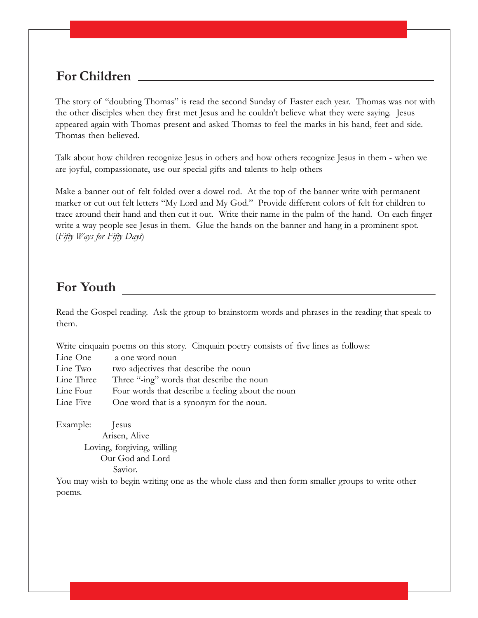The story of "doubting Thomas" is read the second Sunday of Easter each year. Thomas was not with the other disciples when they first met Jesus and he couldn't believe what they were saying. Jesus appeared again with Thomas present and asked Thomas to feel the marks in his hand, feet and side. Thomas then believed.

Talk about how children recognize Jesus in others and how others recognize Jesus in them - when we are joyful, compassionate, use our special gifts and talents to help others

Make a banner out of felt folded over a dowel rod. At the top of the banner write with permanent marker or cut out felt letters "My Lord and My God." Provide different colors of felt for children to trace around their hand and then cut it out. Write their name in the palm of the hand. On each finger write a way people see Jesus in them. Glue the hands on the banner and hang in a prominent spot. (*Fifty Ways for Fifty Days*)

### **For Youth**

Read the Gospel reading. Ask the group to brainstorm words and phrases in the reading that speak to them.

Write cinquain poems on this story. Cinquain poetry consists of five lines as follows:

| Line One   | a one word noun                                   |
|------------|---------------------------------------------------|
| Line Two   | two adjectives that describe the noun             |
| Line Three | Three "-ing" words that describe the noun         |
| Line Four  | Four words that describe a feeling about the noun |
| Line Five  | One word that is a synonym for the noun.          |

Example: Jesus Arisen, Alive Loving, forgiving, willing Our God and Lord Savior.

You may wish to begin writing one as the whole class and then form smaller groups to write other poems.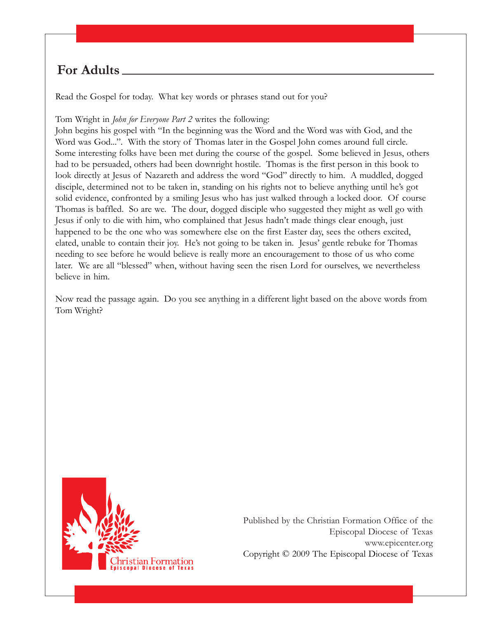Read the Gospel for today. What key words or phrases stand out for you?

Tom Wright in *John for Everyone Part 2* writes the following:

John begins his gospel with "In the beginning was the Word and the Word was with God, and the Word was God...". With the story of Thomas later in the Gospel John comes around full circle. Some interesting folks have been met during the course of the gospel. Some believed in Jesus, others had to be persuaded, others had been downright hostile. Thomas is the first person in this book to look directly at Jesus of Nazareth and address the word "God" directly to him. A muddled, dogged disciple, determined not to be taken in, standing on his rights not to believe anything until he's got solid evidence, confronted by a smiling Jesus who has just walked through a locked door. Of course Thomas is baffled. So are we. The dour, dogged disciple who suggested they might as well go with Jesus if only to die with him, who complained that Jesus hadn't made things clear enough, just happened to be the one who was somewhere else on the first Easter day, sees the others excited, elated, unable to contain their joy. He's not going to be taken in. Jesus' gentle rebuke for Thomas needing to see before he would believe is really more an encouragement to those of us who come later. We are all "blessed" when, without having seen the risen Lord for ourselves, we nevertheless believe in him.

Now read the passage again. Do you see anything in a different light based on the above words from Tom Wright?

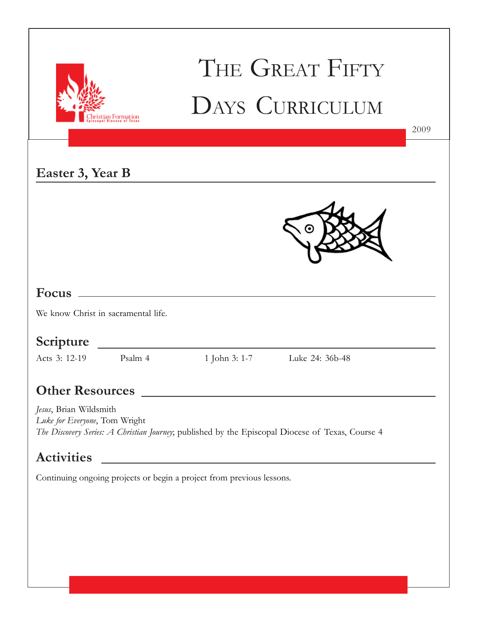|                                                                       |         |                                                                                                                      | THE GREAT FIFTY<br>DAYS CURRICULUM                                                               | 2009 |  |
|-----------------------------------------------------------------------|---------|----------------------------------------------------------------------------------------------------------------------|--------------------------------------------------------------------------------------------------|------|--|
|                                                                       |         |                                                                                                                      |                                                                                                  |      |  |
| Easter 3, Year B                                                      |         |                                                                                                                      |                                                                                                  |      |  |
|                                                                       |         |                                                                                                                      |                                                                                                  |      |  |
|                                                                       |         |                                                                                                                      |                                                                                                  |      |  |
|                                                                       |         |                                                                                                                      |                                                                                                  |      |  |
|                                                                       |         |                                                                                                                      |                                                                                                  |      |  |
| We know Christ in sacramental life.                                   |         |                                                                                                                      |                                                                                                  |      |  |
|                                                                       |         |                                                                                                                      |                                                                                                  |      |  |
| Scripture                                                             |         |                                                                                                                      |                                                                                                  |      |  |
| Acts 3: 12-19                                                         | Psalm 4 | 1 John 3: 1-7                                                                                                        | Luke 24: 36b-48                                                                                  |      |  |
|                                                                       |         |                                                                                                                      |                                                                                                  |      |  |
| Jesus, Brian Wildsmith<br>Luke for Everyone, Tom Wright               |         |                                                                                                                      | The Discovery Series: A Christian Journey; published by the Episcopal Diocese of Texas, Course 4 |      |  |
| <b>Activities</b>                                                     |         | <u> Alexandria de la contrada de la contrada de la contrada de la contrada de la contrada de la contrada de la c</u> |                                                                                                  |      |  |
| Continuing ongoing projects or begin a project from previous lessons. |         |                                                                                                                      |                                                                                                  |      |  |
|                                                                       |         |                                                                                                                      |                                                                                                  |      |  |
|                                                                       |         |                                                                                                                      |                                                                                                  |      |  |
|                                                                       |         |                                                                                                                      |                                                                                                  |      |  |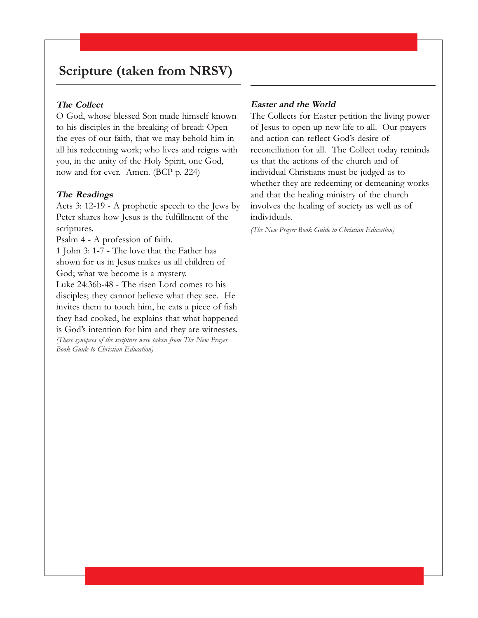### **Scripture (taken from NRSV)**

#### **The Collect**

O God, whose blessed Son made himself known to his disciples in the breaking of bread: Open the eyes of our faith, that we may behold him in all his redeeming work; who lives and reigns with you, in the unity of the Holy Spirit, one God, now and for ever. Amen. (BCP p. 224)

#### **The Readings**

Acts 3: 12-19 - A prophetic speech to the Jews by Peter shares how Jesus is the fulfillment of the scriptures.

Psalm 4 - A profession of faith.

1 John 3: 1-7 - The love that the Father has shown for us in Jesus makes us all children of God; what we become is a mystery.

Luke 24:36b-48 - The risen Lord comes to his disciples; they cannot believe what they see. He invites them to touch him, he eats a piece of fish they had cooked, he explains that what happened is God's intention for him and they are witnesses.

*(These synopses of the scripture were taken from The New Prayer Book Guide to Christian Education)*

#### **Easter and the World**

The Collects for Easter petition the living power of Jesus to open up new life to all. Our prayers and action can reflect God's desire of reconciliation for all. The Collect today reminds us that the actions of the church and of individual Christians must be judged as to whether they are redeeming or demeaning works and that the healing ministry of the church involves the healing of society as well as of individuals.

*(The New Prayer Book Guide to Christian Education)*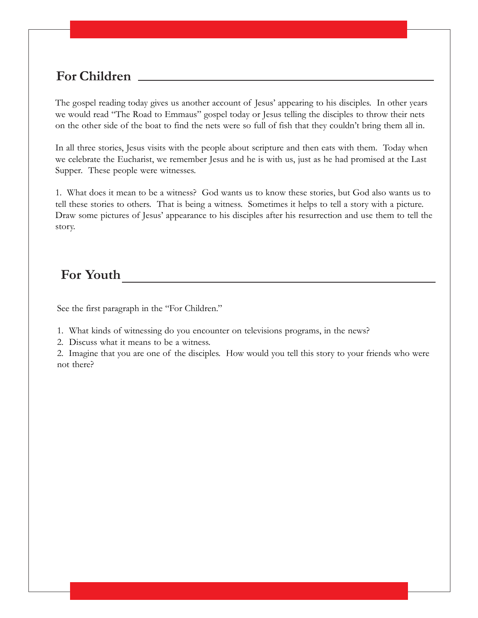The gospel reading today gives us another account of Jesus' appearing to his disciples. In other years we would read "The Road to Emmaus" gospel today or Jesus telling the disciples to throw their nets on the other side of the boat to find the nets were so full of fish that they couldn't bring them all in.

In all three stories, Jesus visits with the people about scripture and then eats with them. Today when we celebrate the Eucharist, we remember Jesus and he is with us, just as he had promised at the Last Supper. These people were witnesses.

1. What does it mean to be a witness? God wants us to know these stories, but God also wants us to tell these stories to others. That is being a witness. Sometimes it helps to tell a story with a picture. Draw some pictures of Jesus' appearance to his disciples after his resurrection and use them to tell the story.

### **For Youth**

See the first paragraph in the "For Children."

- 1. What kinds of witnessing do you encounter on televisions programs, in the news?
- 2. Discuss what it means to be a witness.

2. Imagine that you are one of the disciples. How would you tell this story to your friends who were not there?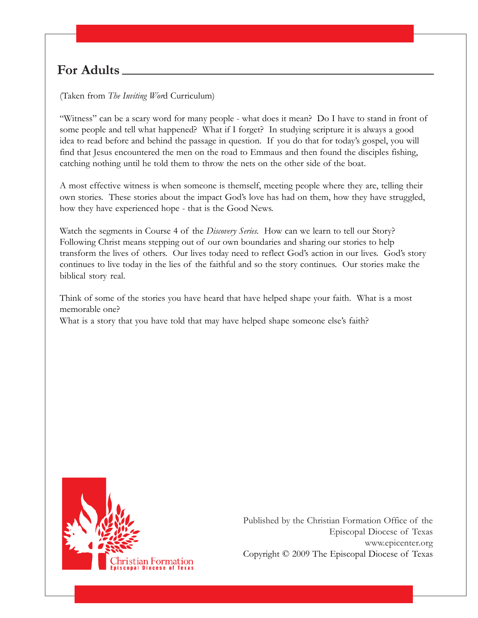(Taken from *The Inviting Wor*d Curriculum)

"Witness" can be a scary word for many people - what does it mean? Do I have to stand in front of some people and tell what happened? What if I forget? In studying scripture it is always a good idea to read before and behind the passage in question. If you do that for today's gospel, you will find that Jesus encountered the men on the road to Emmaus and then found the disciples fishing, catching nothing until he told them to throw the nets on the other side of the boat.

A most effective witness is when someone is themself, meeting people where they are, telling their own stories. These stories about the impact God's love has had on them, how they have struggled, how they have experienced hope - that is the Good News.

Watch the segments in Course 4 of the *Discovery Series.* How can we learn to tell our Story? Following Christ means stepping out of our own boundaries and sharing our stories to help transform the lives of others. Our lives today need to reflect God's action in our lives. God's story continues to live today in the lies of the faithful and so the story continues. Our stories make the biblical story real.

Think of some of the stories you have heard that have helped shape your faith. What is a most memorable one?

What is a story that you have told that may have helped shape someone else's faith?

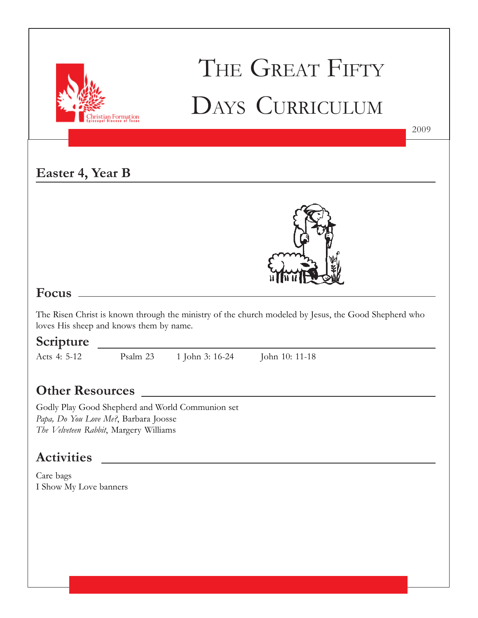

## THE GREAT FIFTY DAYS CURRICULUM

**Easter 4, Year B**



2009

### **Focus**

The Risen Christ is known through the ministry of the church modeled by Jesus, the Good Shepherd who loves His sheep and knows them by name.

### **Scripture**

Acts 4: 5-12 Psalm 23 1 John 3: 16-24 John 10: 11-18

### **Other Resources**

Godly Play Good Shepherd and World Communion set *Papa, Do You Love Me?*, Barbara Joosse *The Velveteen Rabbit*, Margery Williams

### **Activities**

Care bags I Show My Love banners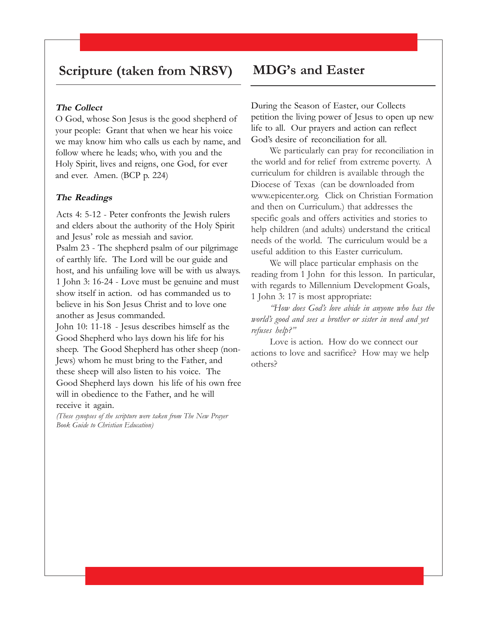### **Scripture (taken from NRSV)**

#### **The Collect**

O God, whose Son Jesus is the good shepherd of your people: Grant that when we hear his voice we may know him who calls us each by name, and follow where he leads; who, with you and the Holy Spirit, lives and reigns, one God, for ever and ever. Amen. (BCP p. 224)

#### **The Readings**

Acts 4: 5-12 - Peter confronts the Jewish rulers and elders about the authority of the Holy Spirit and Jesus' role as messiah and savior. Psalm 23 - The shepherd psalm of our pilgrimage of earthly life. The Lord will be our guide and host, and his unfailing love will be with us always. 1 John 3: 16-24 - Love must be genuine and must show itself in action. od has commanded us to believe in his Son Jesus Christ and to love one another as Jesus commanded.

John 10: 11-18 - Jesus describes himself as the Good Shepherd who lays down his life for his sheep. The Good Shepherd has other sheep (non-Jews) whom he must bring to the Father, and these sheep will also listen to his voice. The Good Shepherd lays down his life of his own free will in obedience to the Father, and he will receive it again.

*(These synopses of the scripture were taken from The New Prayer Book Guide to Christian Education)*

### **MDG's and Easter**

During the Season of Easter, our Collects petition the living power of Jesus to open up new life to all. Our prayers and action can reflect God's desire of reconciliation for all.

We particularly can pray for reconciliation in the world and for relief from extreme poverty. A curriculum for children is available through the Diocese of Texas (can be downloaded from www.epicenter.org. Click on Christian Formation and then on Curriculum.) that addresses the specific goals and offers activities and stories to help children (and adults) understand the critical needs of the world. The curriculum would be a useful addition to this Easter curriculum.

We will place particular emphasis on the reading from 1 John for this lesson. In particular, with regards to Millennium Development Goals, 1 John 3: 17 is most appropriate:

*"How does God's love abide in anyone who has the world's good and sees a brother or sister in need and yet refuses help?"*

Love is action. How do we connect our actions to love and sacrifice? How may we help others?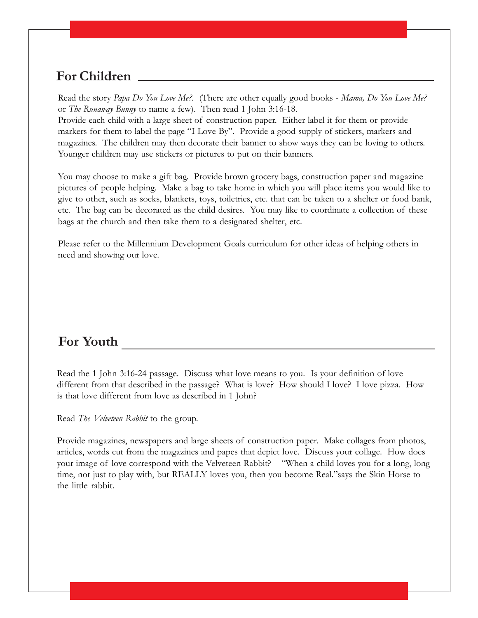Read the story *Papa Do You Love Me?.* (There are other equally good books - *Mama, Do You Love Me?* or *The Runaway Bunny* to name a few). Then read 1 John 3:16-18.

Provide each child with a large sheet of construction paper. Either label it for them or provide markers for them to label the page "I Love By". Provide a good supply of stickers, markers and magazines. The children may then decorate their banner to show ways they can be loving to others. Younger children may use stickers or pictures to put on their banners.

You may choose to make a gift bag. Provide brown grocery bags, construction paper and magazine pictures of people helping. Make a bag to take home in which you will place items you would like to give to other, such as socks, blankets, toys, toiletries, etc. that can be taken to a shelter or food bank, etc. The bag can be decorated as the child desires. You may like to coordinate a collection of these bags at the church and then take them to a designated shelter, etc.

Please refer to the Millennium Development Goals curriculum for other ideas of helping others in need and showing our love.

### **For Youth**

Read the 1 John 3:16-24 passage. Discuss what love means to you. Is your definition of love different from that described in the passage? What is love? How should I love? I love pizza. How is that love different from love as described in 1 John?

Read *The Velveteen Rabbit* to the group.

Provide magazines, newspapers and large sheets of construction paper. Make collages from photos, articles, words cut from the magazines and papes that depict love. Discuss your collage. How does your image of love correspond with the Velveteen Rabbit? "When a child loves you for a long, long time, not just to play with, but REALLY loves you, then you become Real."says the Skin Horse to the little rabbit.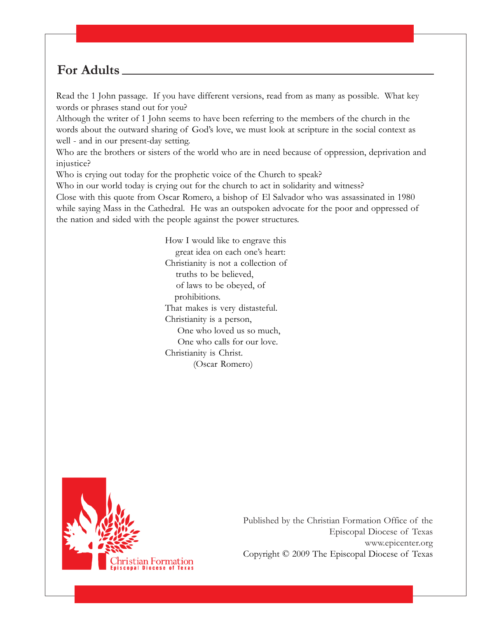Read the 1 John passage. If you have different versions, read from as many as possible. What key words or phrases stand out for you?

Although the writer of 1 John seems to have been referring to the members of the church in the words about the outward sharing of God's love, we must look at scripture in the social context as well - and in our present-day setting.

Who are the brothers or sisters of the world who are in need because of oppression, deprivation and injustice?

Who is crying out today for the prophetic voice of the Church to speak?

Who in our world today is crying out for the church to act in solidarity and witness?

Close with this quote from Oscar Romero, a bishop of El Salvador who was assassinated in 1980 while saying Mass in the Cathedral. He was an outspoken advocate for the poor and oppressed of the nation and sided with the people against the power structures.

> How I would like to engrave this great idea on each one's heart: Christianity is not a collection of truths to be believed, of laws to be obeyed, of prohibitions. That makes is very distasteful. Christianity is a person, One who loved us so much, One who calls for our love. Christianity is Christ. (Oscar Romero)

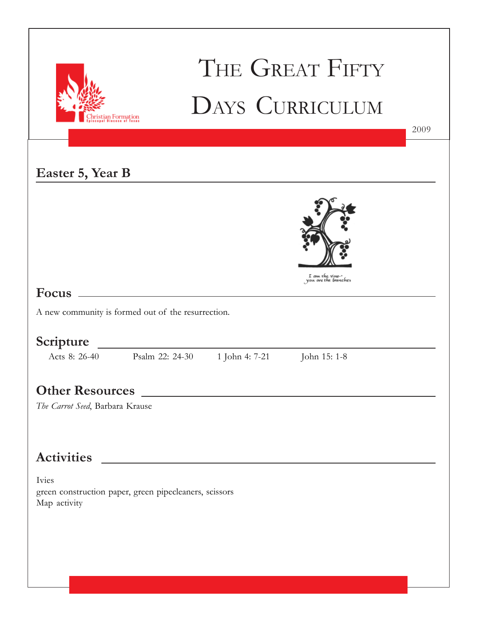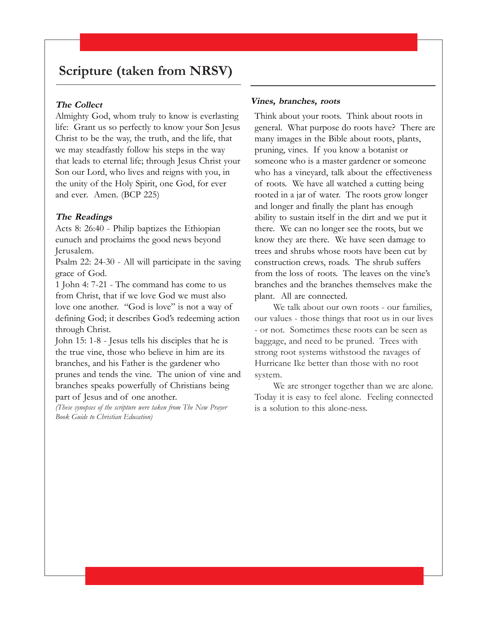### **Scripture (taken from NRSV)**

#### **The Collect**

Almighty God, whom truly to know is everlasting life: Grant us so perfectly to know your Son Jesus Christ to be the way, the truth, and the life, that we may steadfastly follow his steps in the way that leads to eternal life; through Jesus Christ your Son our Lord, who lives and reigns with you, in the unity of the Holy Spirit, one God, for ever and ever. Amen. (BCP 225)

#### **The Readings**

Acts 8: 26:40 - Philip baptizes the Ethiopian eunuch and proclaims the good news beyond Jerusalem.

Psalm 22: 24-30 - All will participate in the saving grace of God.

1 John 4: 7-21 - The command has come to us from Christ, that if we love God we must also love one another. "God is love" is not a way of defining God; it describes God's redeeming action through Christ.

John 15: 1-8 - Jesus tells his disciples that he is the true vine, those who believe in him are its branches, and his Father is the gardener who prunes and tends the vine. The union of vine and branches speaks powerfully of Christians being part of Jesus and of one another.

*(These synopses of the scripture were taken from The New Prayer Book Guide to Christian Education)*

#### **Vines, branches, roots**

Think about your roots. Think about roots in general. What purpose do roots have? There are many images in the Bible about roots, plants, pruning, vines. If you know a botanist or someone who is a master gardener or someone who has a vineyard, talk about the effectiveness of roots. We have all watched a cutting being rooted in a jar of water. The roots grow longer and longer and finally the plant has enough ability to sustain itself in the dirt and we put it there. We can no longer see the roots, but we know they are there. We have seen damage to trees and shrubs whose roots have been cut by construction crews, roads. The shrub suffers from the loss of roots. The leaves on the vine's branches and the branches themselves make the plant. All are connected.

We talk about our own roots - our families, our values - those things that root us in our lives - or not. Sometimes these roots can be seen as baggage, and need to be pruned. Trees with strong root systems withstood the ravages of Hurricane Ike better than those with no root system.

We are stronger together than we are alone. Today it is easy to feel alone. Feeling connected is a solution to this alone-ness.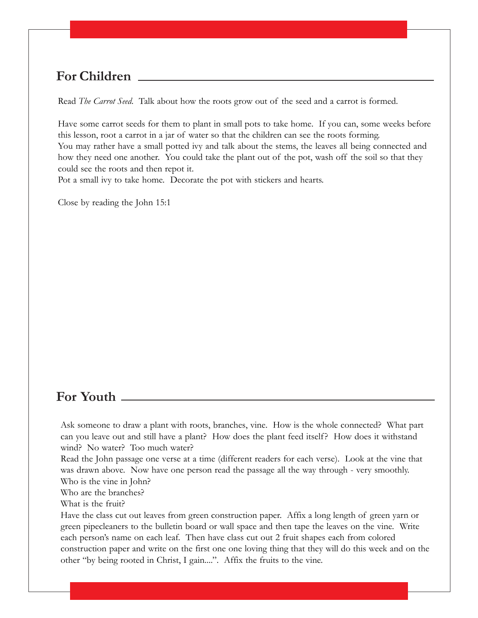Read *The Carrot Seed*. Talk about how the roots grow out of the seed and a carrot is formed.

Have some carrot seeds for them to plant in small pots to take home. If you can, some weeks before this lesson, root a carrot in a jar of water so that the children can see the roots forming. You may rather have a small potted ivy and talk about the stems, the leaves all being connected and how they need one another. You could take the plant out of the pot, wash off the soil so that they could see the roots and then repot it.

Pot a small ivy to take home. Decorate the pot with stickers and hearts.

Close by reading the John 15:1

### **For Youth**

Ask someone to draw a plant with roots, branches, vine. How is the whole connected? What part can you leave out and still have a plant? How does the plant feed itself? How does it withstand wind? No water? Too much water?

Read the John passage one verse at a time (different readers for each verse). Look at the vine that was drawn above. Now have one person read the passage all the way through - very smoothly. Who is the vine in John?

Who are the branches?

What is the fruit?

Have the class cut out leaves from green construction paper. Affix a long length of green yarn or green pipecleaners to the bulletin board or wall space and then tape the leaves on the vine. Write each person's name on each leaf. Then have class cut out 2 fruit shapes each from colored construction paper and write on the first one one loving thing that they will do this week and on the other "by being rooted in Christ, I gain....". Affix the fruits to the vine.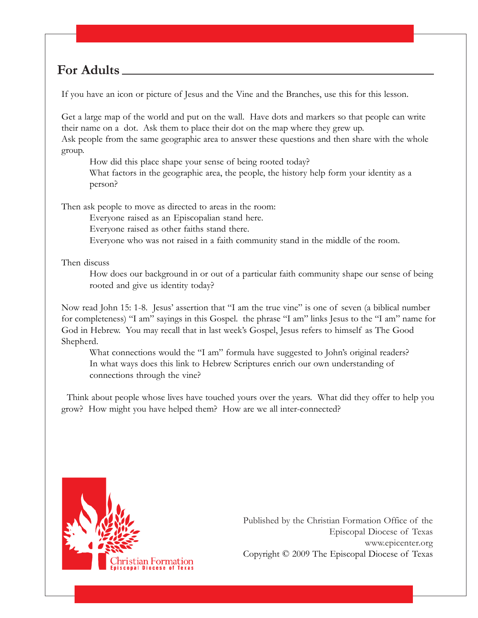If you have an icon or picture of Jesus and the Vine and the Branches, use this for this lesson.

Get a large map of the world and put on the wall. Have dots and markers so that people can write their name on a dot. Ask them to place their dot on the map where they grew up. Ask people from the same geographic area to answer these questions and then share with the whole group.

How did this place shape your sense of being rooted today?

What factors in the geographic area, the people, the history help form your identity as a person?

Then ask people to move as directed to areas in the room:

Everyone raised as an Episcopalian stand here.

Everyone raised as other faiths stand there.

Everyone who was not raised in a faith community stand in the middle of the room.

Then discuss

How does our background in or out of a particular faith community shape our sense of being rooted and give us identity today?

Now read John 15: 1-8. Jesus' assertion that "I am the true vine" is one of seven (a biblical number for completeness) "I am" sayings in this Gospel. the phrase "I am" links Jesus to the "I am" name for God in Hebrew. You may recall that in last week's Gospel, Jesus refers to himself as The Good Shepherd.

What connections would the "I am" formula have suggested to John's original readers? In what ways does this link to Hebrew Scriptures enrich our own understanding of connections through the vine?

 Think about people whose lives have touched yours over the years. What did they offer to help you grow? How might you have helped them? How are we all inter-connected?

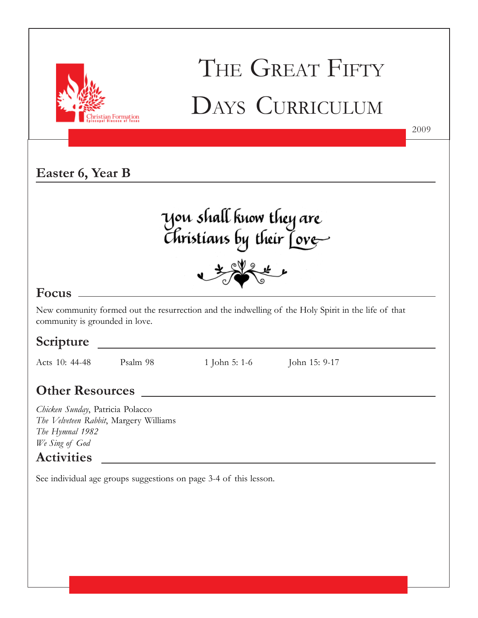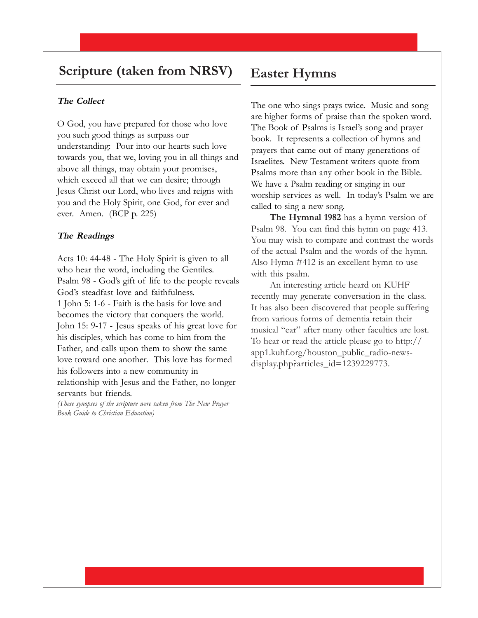### **Scripture (taken from NRSV)**

#### **The Collect**

O God, you have prepared for those who love you such good things as surpass our understanding: Pour into our hearts such love towards you, that we, loving you in all things and above all things, may obtain your promises, which exceed all that we can desire; through Jesus Christ our Lord, who lives and reigns with you and the Holy Spirit, one God, for ever and ever. Amen. (BCP p. 225)

#### **The Readings**

Acts 10: 44-48 - The Holy Spirit is given to all who hear the word, including the Gentiles. Psalm 98 - God's gift of life to the people reveals God's steadfast love and faithfulness. 1 John 5: 1-6 - Faith is the basis for love and becomes the victory that conquers the world. John 15: 9-17 - Jesus speaks of his great love for his disciples, which has come to him from the Father, and calls upon them to show the same love toward one another. This love has formed his followers into a new community in relationship with Jesus and the Father, no longer servants but friends.

*(These synopses of the scripture were taken from The New Prayer Book Guide to Christian Education)*

### **Easter Hymns**

The one who sings prays twice. Music and song are higher forms of praise than the spoken word. The Book of Psalms is Israel's song and prayer book. It represents a collection of hymns and prayers that came out of many generations of Israelites. New Testament writers quote from Psalms more than any other book in the Bible. We have a Psalm reading or singing in our worship services as well. In today's Psalm we are called to sing a new song.

**The Hymnal 1982** has a hymn version of Psalm 98. You can find this hymn on page 413. You may wish to compare and contrast the words of the actual Psalm and the words of the hymn. Also Hymn #412 is an excellent hymn to use with this psalm.

An interesting article heard on KUHF recently may generate conversation in the class. It has also been discovered that people suffering from various forms of dementia retain their musical "ear" after many other faculties are lost. To hear or read the article please go to http:// app1.kuhf.org/houston\_public\_radio-newsdisplay.php?articles\_id=1239229773.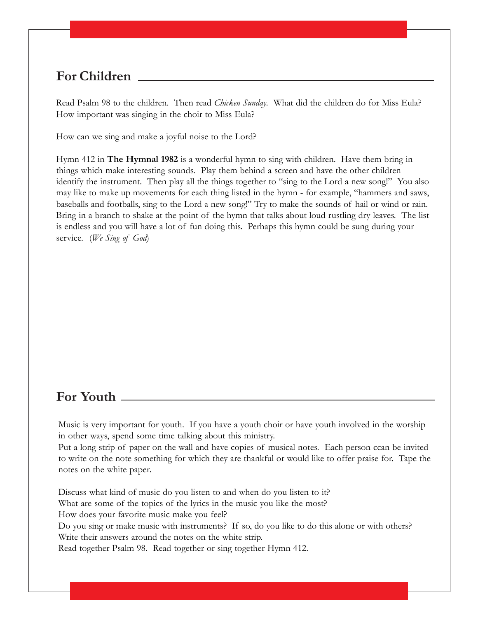Read Psalm 98 to the children. Then read *Chicken Sunday.* What did the children do for Miss Eula? How important was singing in the choir to Miss Eula?

How can we sing and make a joyful noise to the Lord?

Hymn 412 in **The Hymnal 1982** is a wonderful hymn to sing with children. Have them bring in things which make interesting sounds. Play them behind a screen and have the other children identify the instrument. Then play all the things together to "sing to the Lord a new song!" You also may like to make up movements for each thing listed in the hymn - for example, "hammers and saws, baseballs and footballs, sing to the Lord a new song!" Try to make the sounds of hail or wind or rain. Bring in a branch to shake at the point of the hymn that talks about loud rustling dry leaves. The list is endless and you will have a lot of fun doing this. Perhaps this hymn could be sung during your service. (*We Sing of God*)

### **For Youth**

Music is very important for youth. If you have a youth choir or have youth involved in the worship in other ways, spend some time talking about this ministry.

Put a long strip of paper on the wall and have copies of musical notes. Each person ccan be invited to write on the note something for which they are thankful or would like to offer praise for. Tape the notes on the white paper.

Discuss what kind of music do you listen to and when do you listen to it? What are some of the topics of the lyrics in the music you like the most? How does your favorite music make you feel? Do you sing or make music with instruments? If so, do you like to do this alone or with others? Write their answers around the notes on the white strip. Read together Psalm 98. Read together or sing together Hymn 412.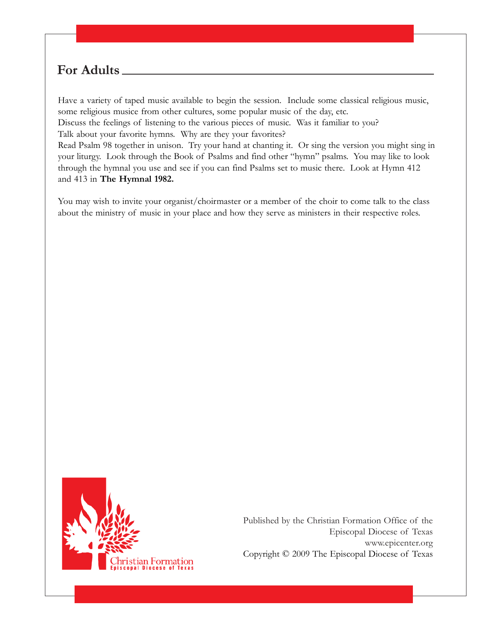Have a variety of taped music available to begin the session. Include some classical religious music, some religious musice from other cultures, some popular music of the day, etc.

Discuss the feelings of listening to the various pieces of music. Was it familiar to you? Talk about your favorite hymns. Why are they your favorites?

Read Psalm 98 together in unison. Try your hand at chanting it. Or sing the version you might sing in your liturgy. Look through the Book of Psalms and find other "hymn" psalms. You may like to look through the hymnal you use and see if you can find Psalms set to music there. Look at Hymn 412 and 413 in **The Hymnal 1982.**

You may wish to invite your organist/choirmaster or a member of the choir to come talk to the class about the ministry of music in your place and how they serve as ministers in their respective roles.

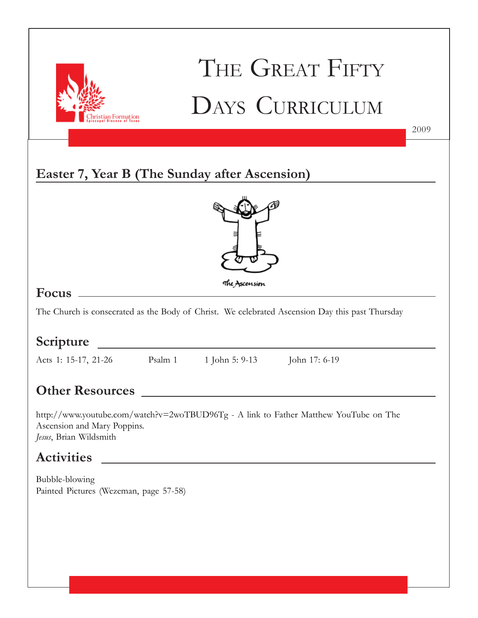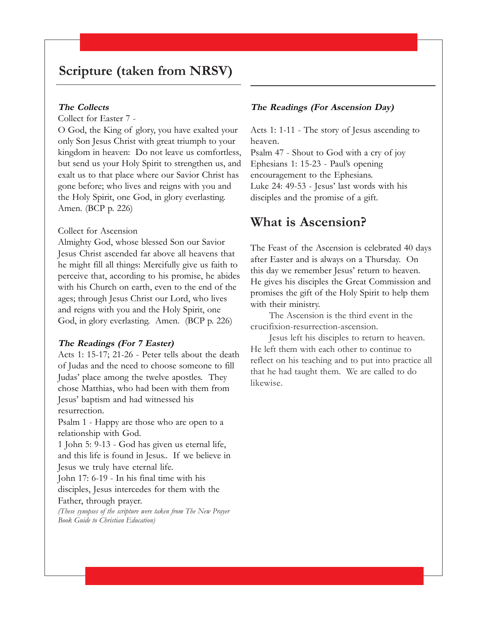### **Scripture (taken from NRSV)**

#### **The Collects**

Collect for Easter 7 -

O God, the King of glory, you have exalted your only Son Jesus Christ with great triumph to your kingdom in heaven: Do not leave us comfortless, but send us your Holy Spirit to strengthen us, and exalt us to that place where our Savior Christ has gone before; who lives and reigns with you and the Holy Spirit, one God, in glory everlasting. Amen. (BCP p. 226)

#### Collect for Ascension

Almighty God, whose blessed Son our Savior Jesus Christ ascended far above all heavens that he might fill all things: Mercifully give us faith to perceive that, according to his promise, he abides with his Church on earth, even to the end of the ages; through Jesus Christ our Lord, who lives and reigns with you and the Holy Spirit, one God, in glory everlasting. Amen. (BCP p. 226)

#### **The Readings (For 7 Easter)**

Acts 1: 15-17; 21-26 - Peter tells about the death of Judas and the need to choose someone to fill Judas' place among the twelve apostles. They chose Matthias, who had been with them from Jesus' baptism and had witnessed his resurrection.

Psalm 1 - Happy are those who are open to a relationship with God.

1 John 5: 9-13 - God has given us eternal life, and this life is found in Jesus.. If we believe in Jesus we truly have eternal life.

John 17: 6-19 - In his final time with his disciples, Jesus intercedes for them with the Father, through prayer.

*(These synopses of the scripture were taken from The New Prayer Book Guide to Christian Education)*

#### **The Readings (For Ascension Day)**

Acts 1: 1-11 - The story of Jesus ascending to heaven.

Psalm 47 - Shout to God with a cry of joy Ephesians 1: 15-23 - Paul's opening encouragement to the Ephesians. Luke 24: 49-53 - Jesus' last words with his disciples and the promise of a gift.

### **What is Ascension?**

The Feast of the Ascension is celebrated 40 days after Easter and is always on a Thursday. On this day we remember Jesus' return to heaven. He gives his disciples the Great Commission and promises the gift of the Holy Spirit to help them with their ministry.

The Ascension is the third event in the crucifixion-resurrection-ascension.

Jesus left his disciples to return to heaven. He left them with each other to continue to reflect on his teaching and to put into practice all that he had taught them. We are called to do likewise.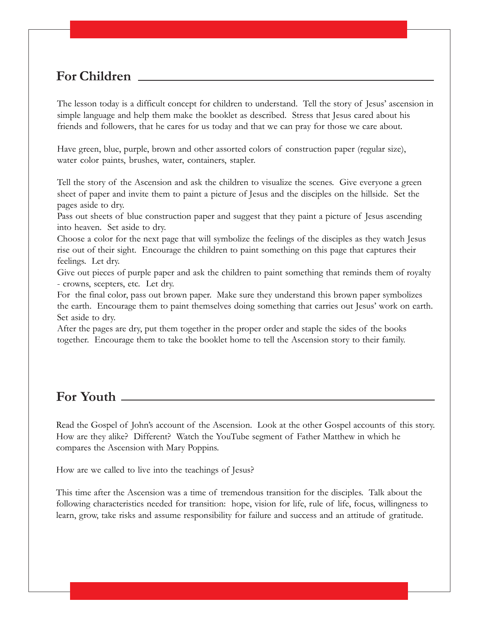The lesson today is a difficult concept for children to understand. Tell the story of Jesus' ascension in simple language and help them make the booklet as described. Stress that Jesus cared about his friends and followers, that he cares for us today and that we can pray for those we care about.

Have green, blue, purple, brown and other assorted colors of construction paper (regular size), water color paints, brushes, water, containers, stapler.

Tell the story of the Ascension and ask the children to visualize the scenes. Give everyone a green sheet of paper and invite them to paint a picture of Jesus and the disciples on the hillside. Set the pages aside to dry.

Pass out sheets of blue construction paper and suggest that they paint a picture of Jesus ascending into heaven. Set aside to dry.

Choose a color for the next page that will symbolize the feelings of the disciples as they watch Jesus rise out of their sight. Encourage the children to paint something on this page that captures their feelings. Let dry.

Give out pieces of purple paper and ask the children to paint something that reminds them of royalty - crowns, scepters, etc. Let dry.

For the final color, pass out brown paper. Make sure they understand this brown paper symbolizes the earth. Encourage them to paint themselves doing something that carries out Jesus' work on earth. Set aside to dry.

After the pages are dry, put them together in the proper order and staple the sides of the books together. Encourage them to take the booklet home to tell the Ascension story to their family.

### **For Youth**

Read the Gospel of John's account of the Ascension. Look at the other Gospel accounts of this story. How are they alike? Different? Watch the YouTube segment of Father Matthew in which he compares the Ascension with Mary Poppins.

How are we called to live into the teachings of Jesus?

This time after the Ascension was a time of tremendous transition for the disciples. Talk about the following characteristics needed for transition: hope, vision for life, rule of life, focus, willingness to learn, grow, take risks and assume responsibility for failure and success and an attitude of gratitude.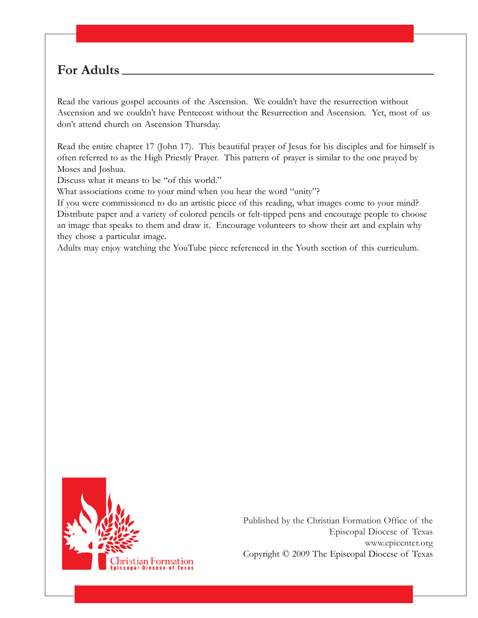Read the various gospel accounts of the Ascension. We couldn't have the resurrection without Ascension and we couldn't have Pentecost without the Resurrection and Ascension. Yet, most of us don't attend church on Ascension Thursday.

Read the entire chapter 17 (John 17). This beautiful prayer of Jesus for his disciples and for himself is often referred to as the High Priestly Prayer. This pattern of prayer is similar to the one prayed by Moses and Joshua.

Discuss what it means to be "of this world."

What associations come to your mind when you hear the word "unity"?

If you were commissioned to do an artistic piece of this reading, what images come to your mind? Distribute paper and a variety of colored pencils or felt-tipped pens and encourage people to choose an image that speaks to them and draw it. Encourage volunteers to show their art and explain why they chose a particular image.

Adults may enjoy watching the YouTube piece referenced in the Youth section of this curriculum.

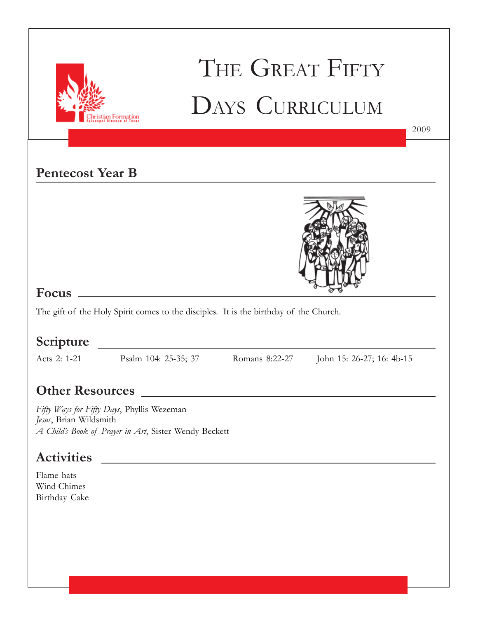

## THE GREAT FIFTY DAYS CURRICULUM

### **Pentecost Year B**



### **Focus**

The gift of the Holy Spirit comes to the disciples. It is the birthday of the Church.

<u> 1980 - Johann Barbara, martxa alemaniar a</u>

### **Scripture**

Acts 2: 1-21 Psalm 104: 25-35; 37 Romans 8:22-27 John 15: 26-27; 16: 4b-15

2009

### **Other Resources**

*Fifty Ways for Fifty Days*, Phyllis Wezeman *Jesus*, Brian Wildsmith *A Child's Book of Prayer in Art*, Sister Wendy Beckett

### **Activities**

Flame hats Wind Chimes Birthday Cake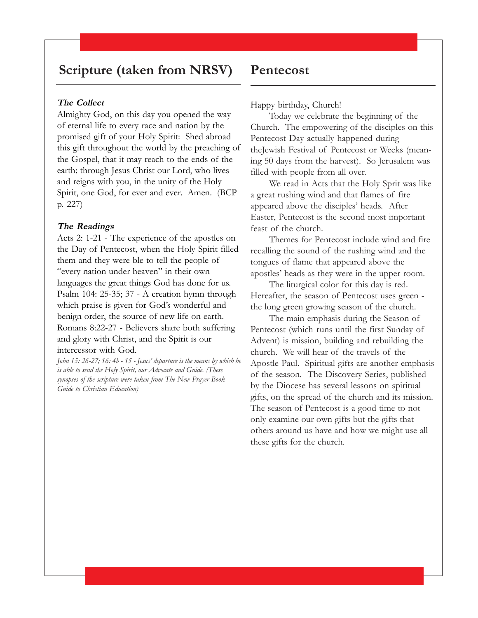### **Scripture (taken from NRSV)**

#### **The Collect**

Almighty God, on this day you opened the way of eternal life to every race and nation by the promised gift of your Holy Spirit: Shed abroad this gift throughout the world by the preaching of the Gospel, that it may reach to the ends of the earth; through Jesus Christ our Lord, who lives and reigns with you, in the unity of the Holy Spirit, one God, for ever and ever. Amen. (BCP p. 227)

#### **The Readings**

Acts 2: 1-21 - The experience of the apostles on the Day of Pentecost, when the Holy Spirit filled them and they were ble to tell the people of "every nation under heaven" in their own languages the great things God has done for us. Psalm 104: 25-35; 37 - A creation hymn through which praise is given for God's wonderful and benign order, the source of new life on earth. Romans 8:22-27 - Believers share both suffering and glory with Christ, and the Spirit is our intercessor with God.

*John 15: 26-27; 16: 4b - 15 - Jesus' departure is the means by which he is able to send the Holy Spirit, our Advocate and Guide. (These synopses of the scripture were taken from The New Prayer Book Guide to Christian Education)*

### **Pentecost**

#### Happy birthday, Church!

Today we celebrate the beginning of the Church. The empowering of the disciples on this Pentecost Day actually happened during theJewish Festival of Pentecost or Weeks (meaning 50 days from the harvest). So Jerusalem was filled with people from all over.

We read in Acts that the Holy Sprit was like a great rushing wind and that flames of fire appeared above the disciples' heads. After Easter, Pentecost is the second most important feast of the church.

Themes for Pentecost include wind and fire recalling the sound of the rushing wind and the tongues of flame that appeared above the apostles' heads as they were in the upper room.

The liturgical color for this day is red. Hereafter, the season of Pentecost uses green the long green growing season of the church.

The main emphasis during the Season of Pentecost (which runs until the first Sunday of Advent) is mission, building and rebuilding the church. We will hear of the travels of the Apostle Paul. Spiritual gifts are another emphasis of the season. The Discovery Series, published by the Diocese has several lessons on spiritual gifts, on the spread of the church and its mission. The season of Pentecost is a good time to not only examine our own gifts but the gifts that others around us have and how we might use all these gifts for the church.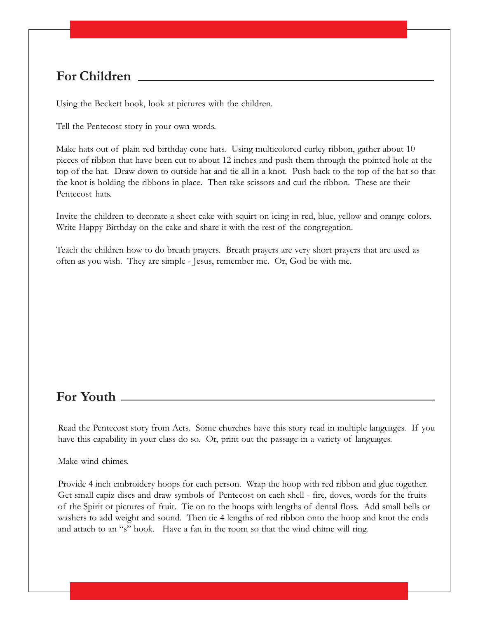Using the Beckett book, look at pictures with the children.

Tell the Pentecost story in your own words.

Make hats out of plain red birthday cone hats. Using multicolored curley ribbon, gather about 10 pieces of ribbon that have been cut to about 12 inches and push them through the pointed hole at the top of the hat. Draw down to outside hat and tie all in a knot. Push back to the top of the hat so that the knot is holding the ribbons in place. Then take scissors and curl the ribbon. These are their Pentecost hats.

Invite the children to decorate a sheet cake with squirt-on icing in red, blue, yellow and orange colors. Write Happy Birthday on the cake and share it with the rest of the congregation.

Teach the children how to do breath prayers. Breath prayers are very short prayers that are used as often as you wish. They are simple - Jesus, remember me. Or, God be with me.

### **For Youth**

Read the Pentecost story from Acts. Some churches have this story read in multiple languages. If you have this capability in your class do so. Or, print out the passage in a variety of languages.

Make wind chimes.

Provide 4 inch embroidery hoops for each person. Wrap the hoop with red ribbon and glue together. Get small capiz discs and draw symbols of Pentecost on each shell - fire, doves, words for the fruits of the Spirit or pictures of fruit. Tie on to the hoops with lengths of dental floss. Add small bells or washers to add weight and sound. Then tie 4 lengths of red ribbon onto the hoop and knot the ends and attach to an "s" hook. Have a fan in the room so that the wind chime will ring.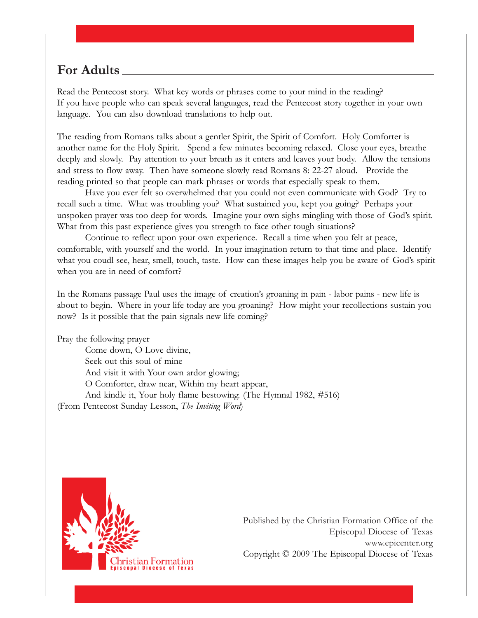Read the Pentecost story. What key words or phrases come to your mind in the reading? If you have people who can speak several languages, read the Pentecost story together in your own language. You can also download translations to help out.

The reading from Romans talks about a gentler Spirit, the Spirit of Comfort. Holy Comforter is another name for the Holy Spirit. Spend a few minutes becoming relaxed. Close your eyes, breathe deeply and slowly. Pay attention to your breath as it enters and leaves your body. Allow the tensions and stress to flow away. Then have someone slowly read Romans 8: 22-27 aloud. Provide the reading printed so that people can mark phrases or words that especially speak to them.

Have you ever felt so overwhelmed that you could not even communicate with God? Try to recall such a time. What was troubling you? What sustained you, kept you going? Perhaps your unspoken prayer was too deep for words. Imagine your own sighs mingling with those of God's spirit. What from this past experience gives you strength to face other tough situations?

Continue to reflect upon your own experience. Recall a time when you felt at peace, comfortable, with yourself and the world. In your imagination return to that time and place. Identify what you coudl see, hear, smell, touch, taste. How can these images help you be aware of God's spirit when you are in need of comfort?

In the Romans passage Paul uses the image of creation's groaning in pain - labor pains - new life is about to begin. Where in your life today are you groaning? How might your recollections sustain you now? Is it possible that the pain signals new life coming?

Pray the following prayer

Come down, O Love divine, Seek out this soul of mine And visit it with Your own ardor glowing; O Comforter, draw near, Within my heart appear, And kindle it, Your holy flame bestowing. (The Hymnal 1982, #516) (From Pentecost Sunday Lesson, *The Inviting Word*)

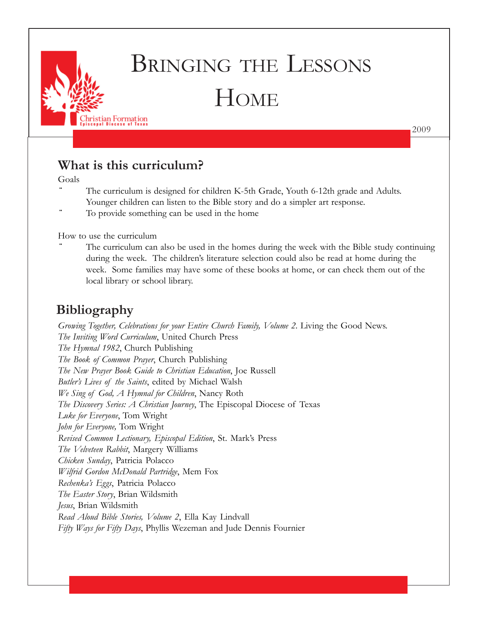

# BRINGING THE LESSONS **HOME**

2009

### **What is this curriculum?**

Goals

- The curriculum is designed for children K-5th Grade, Youth 6-12th grade and Adults. Younger children can listen to the Bible story and do a simpler art response.
- To provide something can be used in the home

How to use the curriculum

The curriculum can also be used in the homes during the week with the Bible study continuing during the week. The children's literature selection could also be read at home during the week. Some families may have some of these books at home, or can check them out of the local library or school library.

### **Bibliography**

*Growing Together, Celebrations for your Entire Church Family, Volume 2*. Living the Good News. *The Inviting Word Curriculum*, United Church Press *The Hymnal 1982*, Church Publishing *The Book of Common Prayer*, Church Publishing *The New Prayer Book Guide to Christian Education*, Joe Russell *Butler's Lives of the Saints*, edited by Michael Walsh *We Sing of God, A Hymnal for Children*, Nancy Roth *The Discovery Series: A Christian Journey*, The Episcopal Diocese of Texas *Luke for Everyone*, Tom Wright *John for Everyone,* Tom Wright *Revised Common Lectionary, Episcopal Edition*, St. Mark's Press *The Velveteen Rabbit*, Margery Williams *Chicken Sunday*, Patricia Polacco *Wilfrid Gordon McDonald Partridge*, Mem Fox *Rechenka's Eggs*, Patricia Polacco *The Easter Story*, Brian Wildsmith *Jesus*, Brian Wildsmith *Read Aloud Bible Stories, Volume 2*, Ella Kay Lindvall *Fifty Ways for Fifty Days*, Phyllis Wezeman and Jude Dennis Fournier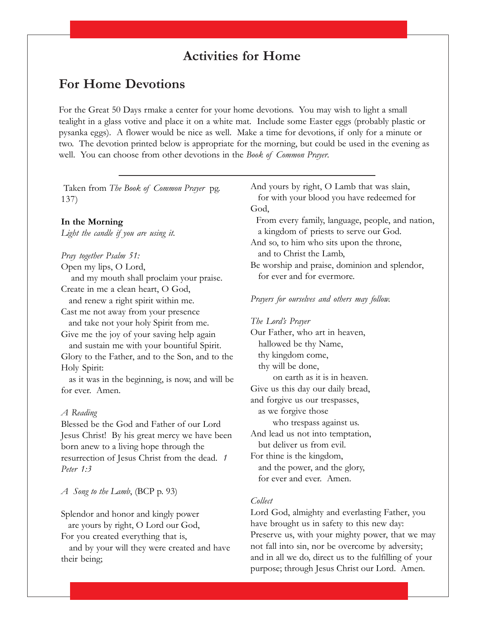### **Activities for Home**

### **For Home Devotions**

For the Great 50 Days rmake a center for your home devotions. You may wish to light a small tealight in a glass votive and place it on a white mat. Include some Easter eggs (probably plastic or pysanka eggs). A flower would be nice as well. Make a time for devotions, if only for a minute or two. The devotion printed below is appropriate for the morning, but could be used in the evening as well. You can choose from other devotions in the *Book of Common Prayer*.

 Taken from *The Book of Common Prayer* pg. 137)

#### **In the Morning**

*Light the candle if you are using it.*

#### *Pray together Psalm 51:*

Open my lips, O Lord,

 and my mouth shall proclaim your praise. Create in me a clean heart, O God,

and renew a right spirit within me.

Cast me not away from your presence

and take not your holy Spirit from me.

Give me the joy of your saving help again and sustain me with your bountiful Spirit. Glory to the Father, and to the Son, and to the Holy Spirit:

 as it was in the beginning, is now, and will be for ever. Amen.

#### *A Reading*

Blessed be the God and Father of our Lord Jesus Christ! By his great mercy we have been born anew to a living hope through the resurrection of Jesus Christ from the dead. *1 Peter 1:3*

*A Song to the Lamb*, (BCP p. 93)

Splendor and honor and kingly power are yours by right, O Lord our God,

For you created everything that is,

 and by your will they were created and have their being;

And yours by right, O Lamb that was slain, for with your blood you have redeemed for God, From every family, language, people, and nation, a kingdom of priests to serve our God. And so, to him who sits upon the throne, and to Christ the Lamb, Be worship and praise, dominion and splendor, for ever and for evermore.

#### *Prayers for ourselves and others may follow.*

*The Lord's Prayer* Our Father, who art in heaven, hallowed be thy Name, thy kingdom come, thy will be done, on earth as it is in heaven. Give us this day our daily bread, and forgive us our trespasses, as we forgive those who trespass against us. And lead us not into temptation, but deliver us from evil. For thine is the kingdom, and the power, and the glory, for ever and ever. Amen.

#### *Collect*

Lord God, almighty and everlasting Father, you have brought us in safety to this new day: Preserve us, with your mighty power, that we may not fall into sin, nor be overcome by adversity; and in all we do, direct us to the fulfilling of your purpose; through Jesus Christ our Lord. Amen.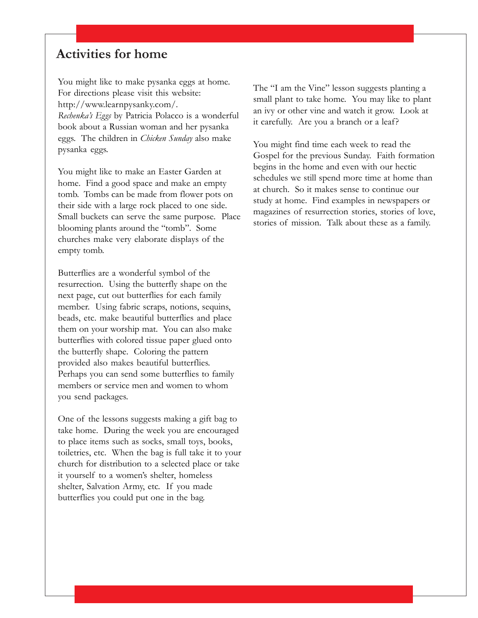### **Activities for home**

You might like to make pysanka eggs at home. For directions please visit this website: http://www.learnpysanky.com/. *Rechenka's Eggs* by Patricia Polacco is a wonderful book about a Russian woman and her pysanka eggs. The children in *Chicken Sunday* also make pysanka eggs.

You might like to make an Easter Garden at home. Find a good space and make an empty tomb. Tombs can be made from flower pots on their side with a large rock placed to one side. Small buckets can serve the same purpose. Place blooming plants around the "tomb". Some churches make very elaborate displays of the empty tomb.

Butterflies are a wonderful symbol of the resurrection. Using the butterfly shape on the next page, cut out butterflies for each family member. Using fabric scraps, notions, sequins, beads, etc. make beautiful butterflies and place them on your worship mat. You can also make butterflies with colored tissue paper glued onto the butterfly shape. Coloring the pattern provided also makes beautiful butterflies. Perhaps you can send some butterflies to family members or service men and women to whom you send packages.

One of the lessons suggests making a gift bag to take home. During the week you are encouraged to place items such as socks, small toys, books, toiletries, etc. When the bag is full take it to your church for distribution to a selected place or take it yourself to a women's shelter, homeless shelter, Salvation Army, etc. If you made butterflies you could put one in the bag.

The "I am the Vine" lesson suggests planting a small plant to take home. You may like to plant an ivy or other vine and watch it grow. Look at it carefully. Are you a branch or a leaf?

You might find time each week to read the Gospel for the previous Sunday. Faith formation begins in the home and even with our hectic schedules we still spend more time at home than at church. So it makes sense to continue our study at home. Find examples in newspapers or magazines of resurrection stories, stories of love, stories of mission. Talk about these as a family.